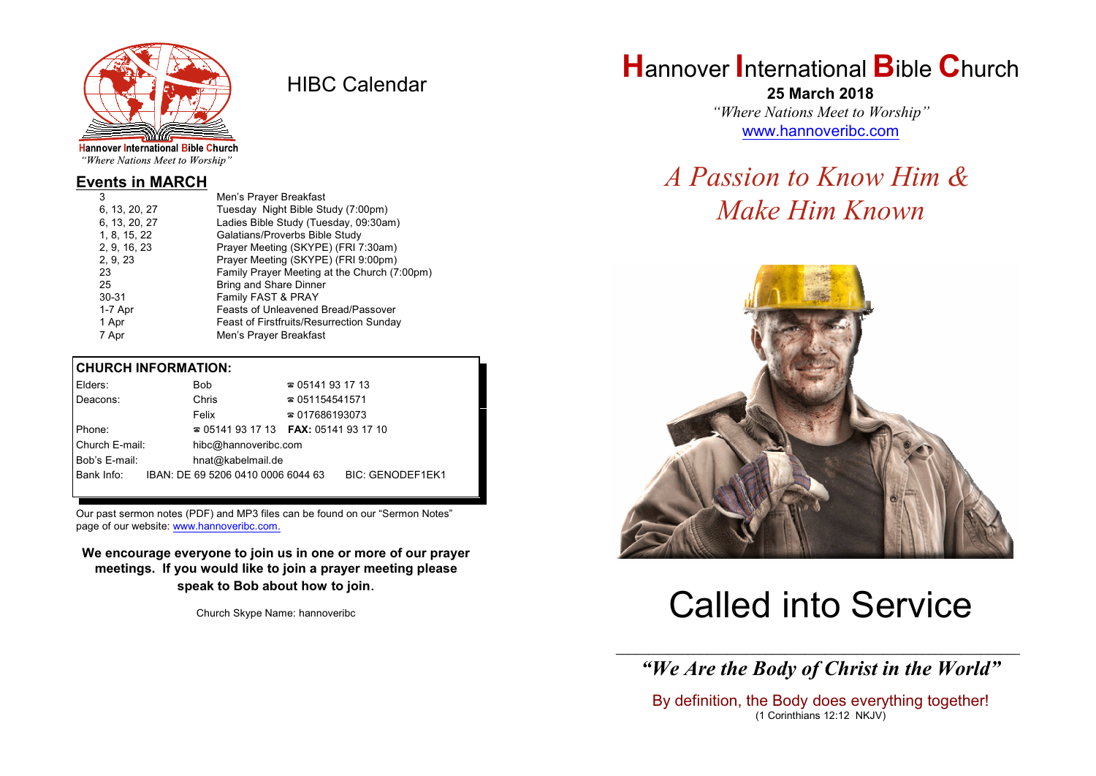

HIBC Calendar

"Where Nations Meet to Worship"

#### **Events in MARCH**

| 3             | Men's Prayer Breakfast                          |
|---------------|-------------------------------------------------|
| 6, 13, 20, 27 | Tuesday Night Bible Study (7:00pm)              |
| 6, 13, 20, 27 | Ladies Bible Study (Tuesday, 09:30am)           |
| 1, 8, 15, 22  | Galatians/Proverbs Bible Study                  |
| 2, 9, 16, 23  | Prayer Meeting (SKYPE) (FRI 7:30am)             |
| 2, 9, 23      | Prayer Meeting (SKYPE) (FRI 9:00pm)             |
| 23            | Family Prayer Meeting at the Church (7:00pm)    |
| 25            | <b>Bring and Share Dinner</b>                   |
| $30 - 31$     | Family FAST & PRAY                              |
| 1-7 Apr       | Feasts of Unleavened Bread/Passover             |
| 1 Apr         | <b>Feast of Firstfruits/Resurrection Sunday</b> |
| 7 Apr         | Men's Prayer Breakfast                          |
|               |                                                 |

#### **CHURCH INFORMATION:**

| Elders:        | Bob                                      | $\approx 05141931713$  |                         |
|----------------|------------------------------------------|------------------------|-------------------------|
| Deacons:       | Chris                                    | $\approx 051154541571$ |                         |
|                | Felix                                    | $\approx 017686193073$ |                         |
| Phone:         | $\approx 05141931713$ FAX: 0514193 17 10 |                        |                         |
| Church E-mail: | hibc@hannoveribc.com                     |                        |                         |
| Bob's E-mail:  | hnat@kabelmail.de                        |                        |                         |
| Bank Info:     | IBAN: DE 69 5206 0410 0006 6044 63       |                        | <b>BIC: GENODEF1EK1</b> |
|                |                                          |                        |                         |

Our past sermon notes (PDF) and MP3 files can be found on our "Sermon Notes" page of our website: [www.hannoveribc.com.](http://www.hannoveribc.com.)

**We encourage everyone to join us in one or more of our prayer meetings. If you would like to join a prayer meeting please speak to Bob about how to join**.

Church Skype Name: hannoveribc

## **H**annover **I**nternational **B**ible **C**hurch

**25 March 2018** *"Where Nations Meet to Worship"* [www.hannoveribc.com](http://www.hannoveribc.com)

## *A Passion to Know Him & Make Him Known*



# Called into Service

\_\_\_\_\_\_\_\_\_\_\_\_\_\_\_\_\_\_\_\_\_\_\_\_\_\_\_\_\_\_\_\_\_\_\_\_\_\_\_\_\_\_\_\_\_\_\_\_\_\_\_\_\_\_\_\_\_\_\_\_\_\_ *"We Are the Body of Christ in the World"*

By definition, the Body does everything together! (1 Corinthians 12:12 NKJV)